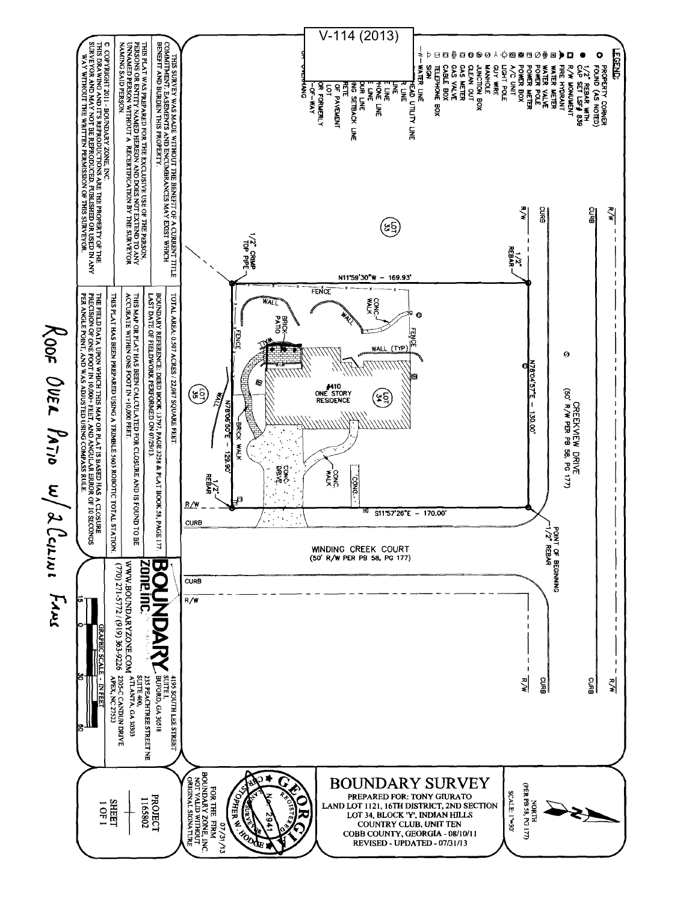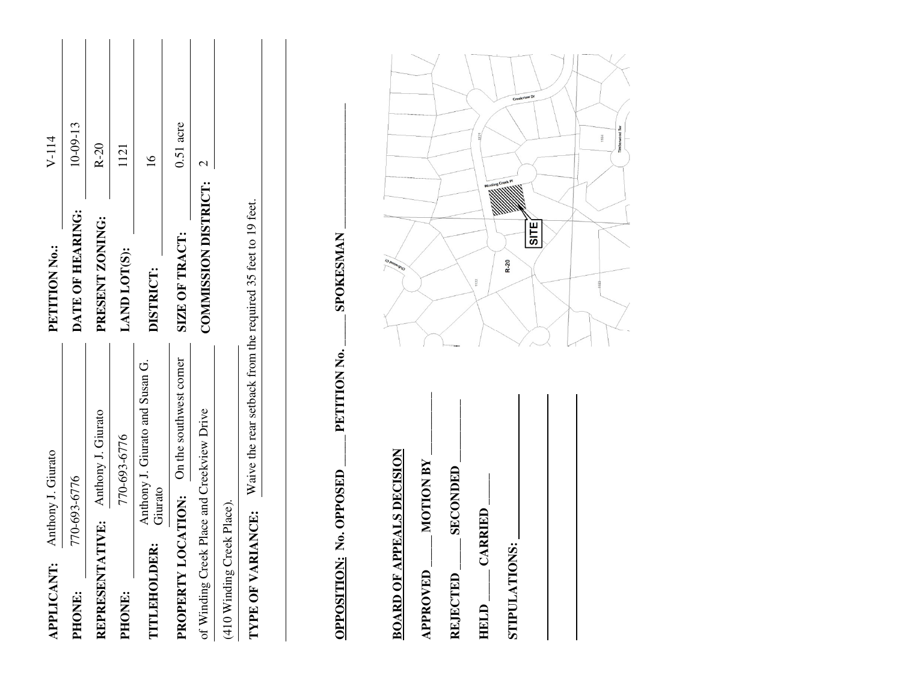| APPLICANT:                                 | Anthony J. Giurato |                                            | PETITION No.:                                                | $V-114$              |
|--------------------------------------------|--------------------|--------------------------------------------|--------------------------------------------------------------|----------------------|
| PHONE:                                     | 770-693-6776       |                                            | DATE OF HEARING:                                             | 10-09-13             |
| REPRESENTATIVE: Anthony J. Giurato         |                    |                                            | PRESENT ZONING:                                              | $R-20$               |
| PHONE:                                     |                    | 770-693-6776                               | LAND LOT(S):                                                 | 1121                 |
| TITLEHOLDEE                                | Giurato            | Anthony J. Giurato and Susan G.            | <b>DISTRICT:</b>                                             | $\frac{1}{\sqrt{2}}$ |
|                                            |                    | PROPERTY LOCATION: On the southwest corner | SIZE OF TRACT:                                               | $0.51$ acre          |
| of Winding Creek Place and Creekview Drive |                    |                                            | <b>COMIMISSION DISTRICT:</b>                                 |                      |
| (410 Winding Creek Place).                 |                    |                                            |                                                              |                      |
| TYPE OF VARI                               | <b>IANCE:</b>      |                                            | Waive the rear setback from the required 35 feet to 19 feet. |                      |

**OPPOSITION: No. OPPOSED \_\_\_\_\_\_ PETITION No. \_\_\_\_\_ SPOKESMAN \_\_\_\_\_\_\_\_\_\_\_\_\_\_\_\_\_\_\_** SPOKESMAN \_PETITION No. OPPOSITION: No. OPPOSED

**BOARD OF APPEALS DECISION BOARD OF APPEALS DECISION**

**APPROVED \_\_\_\_\_ MOTION BY \_\_\_\_\_\_\_\_\_\_ MOTION BY** APPROVED

**REJECTED \_\_\_\_\_ SECONDED \_\_\_\_\_\_\_\_\_\_ SECONDED** REJECTED

**HELD \_\_\_\_\_ CARRIED \_\_\_\_\_ CARRIED** HELD\_

STIPULATIONS: **STIPULATIONS:** 

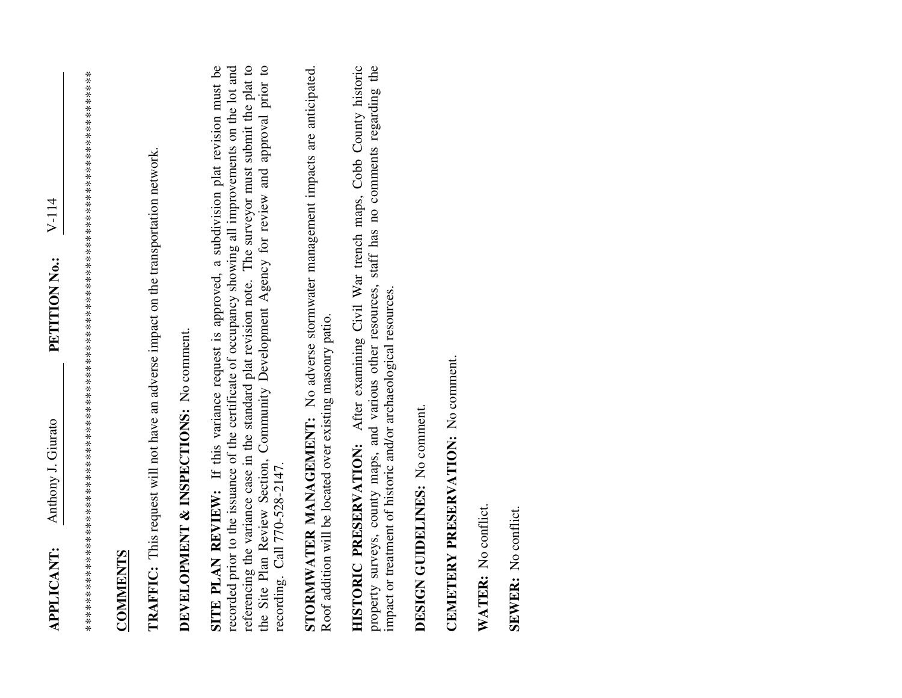\*\*\*\*\*\*\*\*\*\*\*\*\*\*\*\*\*\*\*\*\*\*\*\*\*\*\*\*\*\*\*\*\*\*\*\*\*\*\*\*\*\*\*\*\*\*\*\*\*\*\*\*\*\*\*\*\*\*\*\*\*\*\*\*\*\*\*\*\*\*\*\*\*\*\*\*\*\*\*\*\*\*

## **COMMENTS COMMENTS**

**TRAFFIC:** This request will not have an adverse impact on the transportation network. **TRAFFIC:** This request will not have an adverse impact on the transportation network.

## **DEVELOPMENT & INSPECTIONS:** No comment.

**SITE PLAN REVIEW:** If this variance request is approved, a subdivision plat revision must be recorded prior to the issuance of the certificate of occupancy showing all improvements on the lot and referencing the variance case in the standard plat revision note. The surveyor must submit the plat to referencing the variance case in the standard plat revision note. The surveyor must submit the plat to the Site Plan Review Section, Community Development Agency for review and approval prior to SITE PLAN REVIEW: If this variance request is approved, a subdivision plat revision must be recorded prior to the issuance of the certificate of occupancy showing all improvements on the lot and the Site Plan Review Section, Community Development Agency for review and approval prior to recording. Call 770-528-2147. recording. Call 770-528-2147.

**STORMWATER MANAGEMENT:** No adverse stormwater management impacts are anticipated. STORMWATER MANAGEMENT: No adverse stormwater management impacts are anticipated. Roof addition will be located over existing masonry patio. Roof addition will be located over existing masonry patio.

**HISTORIC PRESERVATION:** After examining Civil War trench maps, Cobb County historic property surveys, county maps, and various other resources, staff has no comments regarding the property surveys, county maps, and various other resources, staff has no comments regarding the HISTORIC PRESERVATION: After examining Civil War trench maps, Cobb County historic impact or treatment of historic and/or archaeological resources. impact or treatment of historic and/or archaeological resources.

**DESIGN GUIDELINES:** No comment. DESIGN GUIDELINES: No comment.

## **CEMETERY PRESERVATION:** No comment. CEMETERY PRESERVATION: No comment.

**WATER:** No conflict. WATER: No conflict.

**SEWER:** No conflict. SEWER: No conflict.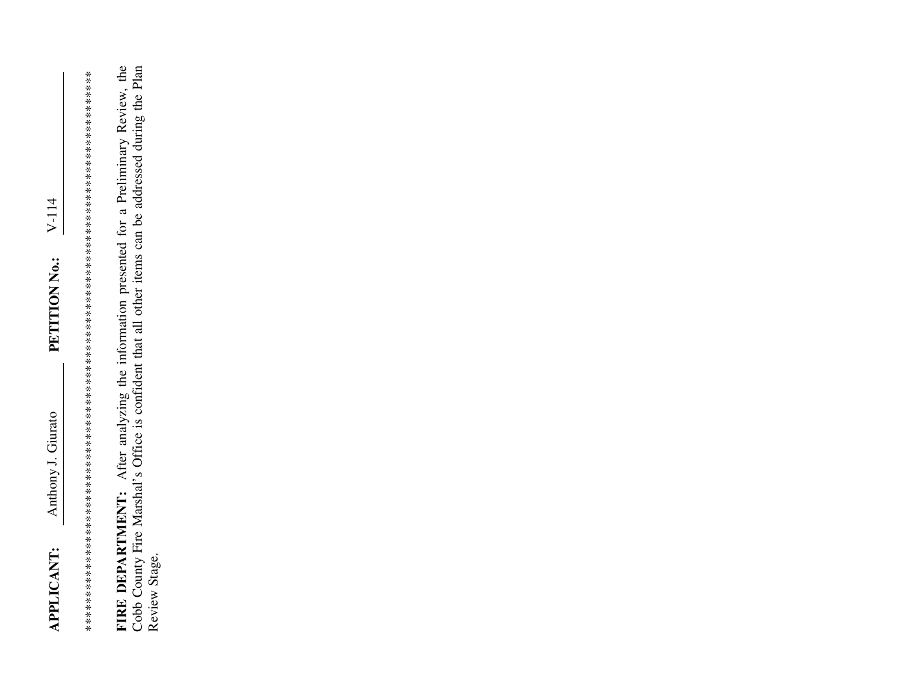FIRE DEPARTMENT: After analyzing the information presented for a Preliminary Review, the Cobb County Fire Marshal's Office is confident that all other items can be addressed during the Plan Review Stage.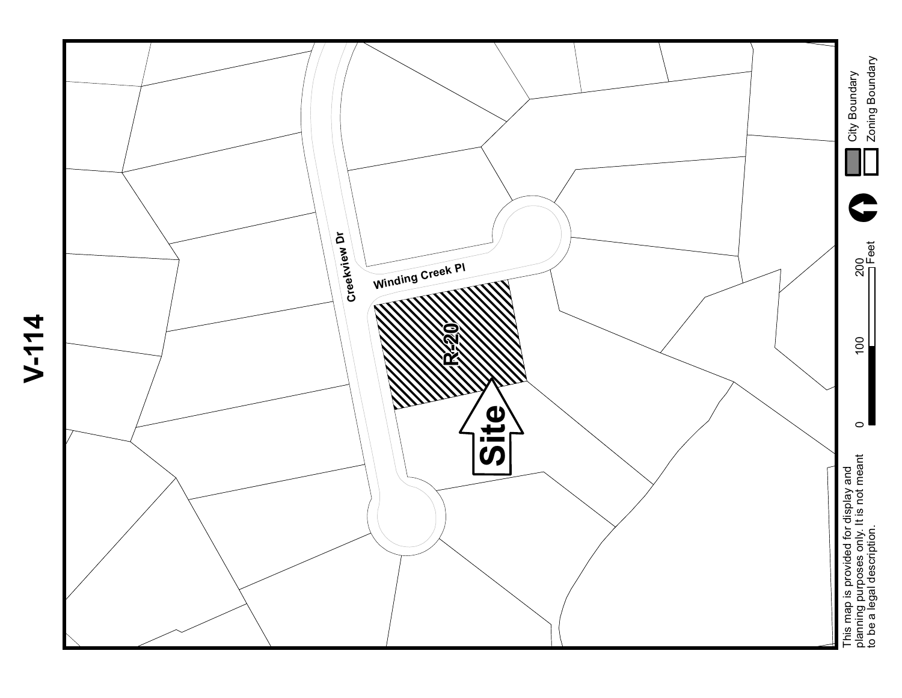

**V-114**